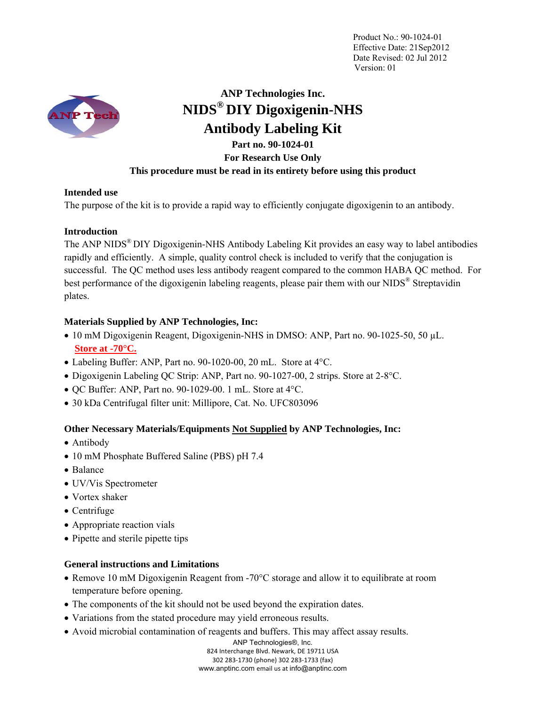

# **ANP Technologies Inc. NIDS® DIY Digoxigenin-NHS Antibody Labeling Kit**

## **Part no. 90-1024-01 For Research Use Only This procedure must be read in its entirety before using this product**

### **Intended use**

The purpose of the kit is to provide a rapid way to efficiently conjugate digoxigenin to an antibody.

### **Introduction**

The ANP NIDS<sup>®</sup> DIY Digoxigenin-NHS Antibody Labeling Kit provides an easy way to label antibodies rapidly and efficiently. A simple, quality control check is included to verify that the conjugation is successful.The QC method uses less antibody reagent compared to the common HABA QC method.For best performance of the digoxigenin labeling reagents, please pair them with our NIDS® Streptavidin plates.

## **Materials Supplied by ANP Technologies, Inc:**

- 10 mM Digoxigenin Reagent, Digoxigenin-NHS in DMSO: ANP, Part no. 90-1025-50, 50 µL. **Store at -70°C.**
- Labeling Buffer: ANP, Part no. 90-1020-00, 20 mL. Store at 4°C.
- Digoxigenin Labeling QC Strip: ANP, Part no. 90-1027-00, 2 strips. Store at 2-8°C.
- $\bullet$  QC Buffer: ANP, Part no. 90-1029-00. 1 mL. Store at 4°C.
- 30 kDa Centrifugal filter unit: Millipore, Cat. No. UFC803096

## **Other Necessary Materials/Equipments Not Supplied by ANP Technologies, Inc:**

- Antibody
- 10 mM Phosphate Buffered Saline (PBS) pH 7.4
- Balance
- UV/Vis Spectrometer
- Vortex shaker
- Centrifuge
- Appropriate reaction vials
- Pipette and sterile pipette tips

## **General instructions and Limitations**

- Remove 10 mM Digoxigenin Reagent from -70°C storage and allow it to equilibrate at room temperature before opening.
- The components of the kit should not be used beyond the expiration dates.
- Variations from the stated procedure may yield erroneous results.
- Avoid microbial contamination of reagents and buffers. This may affect assay results.

ANP Technologies®, Inc. 824 Interchange Blvd. Newark, DE 19711 USA 302 283‐1730 (phone) 302 283‐1733 (fax) www.anptinc.com email us at info@anptinc.com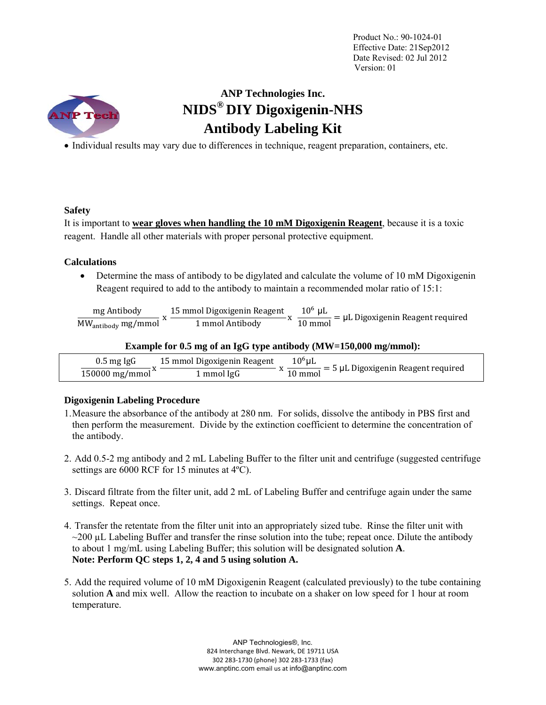

## **ANP Technologies Inc. NIDS® DIY Digoxigenin-NHS Antibody Labeling Kit**

Individual results may vary due to differences in technique, reagent preparation, containers, etc.

### **Safety**

It is important to **wear gloves when handling the 10 mM Digoxigenin Reagent**, because it is a toxic reagent. Handle all other materials with proper personal protective equipment.

### **Calculations**

 Determine the mass of antibody to be digylated and calculate the volume of 10 mM Digoxigenin Reagent required to add to the antibody to maintain a recommended molar ratio of 15:1:

| mg Antibody                    | 15 mmol Digoxigenin Reagent | $106$ uL | $\mathbf{L} = \mu L$ Digoxigenin Reagent required |
|--------------------------------|-----------------------------|----------|---------------------------------------------------|
| MW <sub>antibody</sub> mg/mmol | 1 mmol Antibody             | 10 mmol  |                                                   |

### **Example for 0.5 mg of an IgG type antibody (MW=150,000 mg/mmol):**

| $0.5$ mg Ig $G$               | 15 mmol Digoxigenin Reagent | $10^{\rm o}$ uL | $=$ 5 µL Digoxigenin Reagent required |
|-------------------------------|-----------------------------|-----------------|---------------------------------------|
| $150000$ mg/mmol <sup>"</sup> | 1 mmol IgG                  | 10 mmol         |                                       |

### **Digoxigenin Labeling Procedure**

- 1.Measure the absorbance of the antibody at 280 nm. For solids, dissolve the antibody in PBS first and then perform the measurement. Divide by the extinction coefficient to determine the concentration of the antibody.
- 2. Add 0.5-2 mg antibody and 2 mL Labeling Buffer to the filter unit and centrifuge (suggested centrifuge settings are 6000 RCF for 15 minutes at 4ºC).
- 3. Discard filtrate from the filter unit, add 2 mL of Labeling Buffer and centrifuge again under the same settings. Repeat once.
- 4. Transfer the retentate from the filter unit into an appropriately sized tube. Rinse the filter unit with  $\sim$ 200 µL Labeling Buffer and transfer the rinse solution into the tube; repeat once. Dilute the antibody to about 1 mg/mL using Labeling Buffer; this solution will be designated solution **A**. **Note: Perform QC steps 1, 2, 4 and 5 using solution A.**
- 5. Add the required volume of 10 mM Digoxigenin Reagent (calculated previously) to the tube containing solution **A** and mix well. Allow the reaction to incubate on a shaker on low speed for 1 hour at room temperature.

ANP Technologies®, Inc. 824 Interchange Blvd. Newark, DE 19711 USA 302 283‐1730 (phone) 302 283‐1733 (fax) www.anptinc.com email us at info@anptinc.com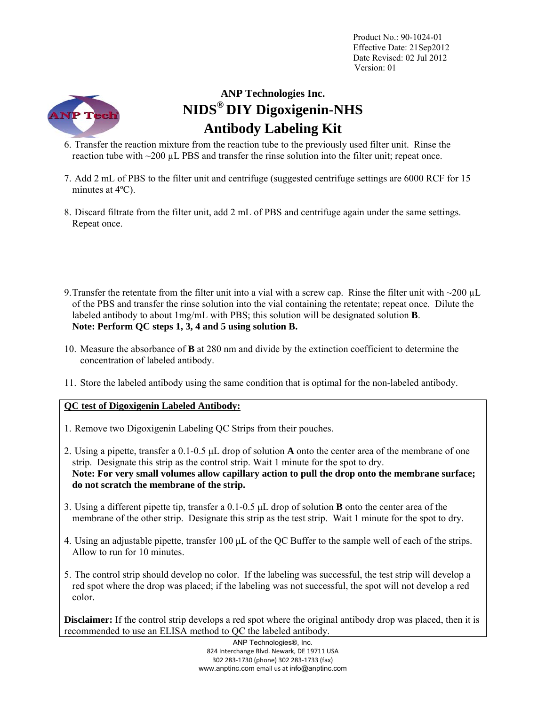

# **ANP Technologies Inc. NIDS® DIY Digoxigenin-NHS Antibody Labeling Kit**

- 6. Transfer the reaction mixture from the reaction tube to the previously used filter unit. Rinse the reaction tube with  $\sim$ 200  $\mu$ L PBS and transfer the rinse solution into the filter unit; repeat once.
- 7. Add 2 mL of PBS to the filter unit and centrifuge (suggested centrifuge settings are 6000 RCF for 15 minutes at 4ºC).
- 8. Discard filtrate from the filter unit, add 2 mL of PBS and centrifuge again under the same settings. Repeat once.
- 9. Transfer the retentate from the filter unit into a vial with a screw cap. Rinse the filter unit with  $\sim$ 200  $\mu$ L of the PBS and transfer the rinse solution into the vial containing the retentate; repeat once. Dilute the labeled antibody to about 1mg/mL with PBS; this solution will be designated solution **B**. **Note: Perform QC steps 1, 3, 4 and 5 using solution B.**
- 10. Measure the absorbance of **B** at 280 nm and divide by the extinction coefficient to determine the concentration of labeled antibody.
- 11. Store the labeled antibody using the same condition that is optimal for the non-labeled antibody.

## **QC test of Digoxigenin Labeled Antibody:**

- 1. Remove two Digoxigenin Labeling QC Strips from their pouches.
- 2. Using a pipette, transfer a 0.1-0.5 μL drop of solution **A** onto the center area of the membrane of one strip. Designate this strip as the control strip. Wait 1 minute for the spot to dry. **Note: For very small volumes allow capillary action to pull the drop onto the membrane surface; do not scratch the membrane of the strip.**
- 3. Using a different pipette tip, transfer a 0.1-0.5 μL drop of solution **B** onto the center area of the membrane of the other strip. Designate this strip as the test strip. Wait 1 minute for the spot to dry.
- 4. Using an adjustable pipette, transfer 100 μL of the QC Buffer to the sample well of each of the strips. Allow to run for 10 minutes.
- 5. The control strip should develop no color. If the labeling was successful, the test strip will develop a red spot where the drop was placed; if the labeling was not successful, the spot will not develop a red color.

**Disclaimer:** If the control strip develops a red spot where the original antibody drop was placed, then it is recommended to use an ELISA method to QC the labeled antibody.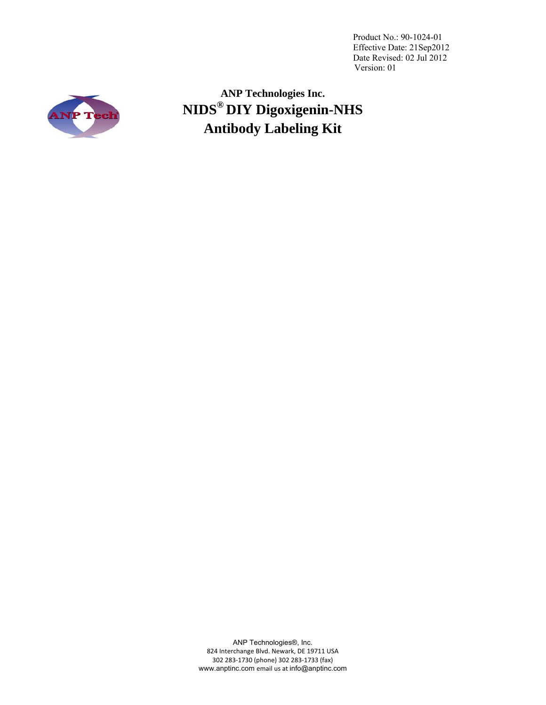

**ANP Technologies Inc. NIDS® DIY Digoxigenin-NHS Antibody Labeling Kit** 

ANP Technologies®, Inc. 824 Interchange Blvd. Newark, DE 19711 USA 302 283‐1730 (phone) 302 283‐1733 (fax) www.anptinc.com email us at info@anptinc.com